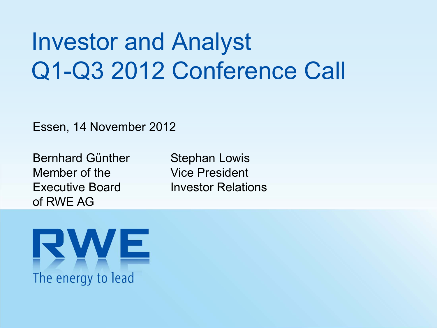# Investor and Analyst Q1-Q3 2012 Conference Call

Essen, 14 November 2012

Bernhard GüntherMember of theExecutive Board of RWE AG

Stephan Lowis Vice President Investor Relations

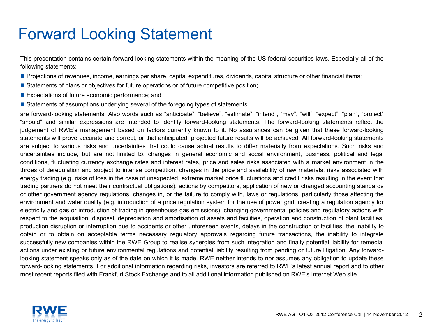### Forward Looking Statement

This presentation contains certain forward-looking statements within the meaning of the US federal securities laws. Especially all of the following statements:

- Projections of revenues, income, earnings per share, capital expenditures, dividends, capital structure or other financial items;
- **Statements of plans or objectives for future operations or of future competitive position**;
- **Expectations of future economic performance; and**
- **Statements of assumptions underlying several of the foregoing types of statements**

are forward-looking statements. Also words such as "anticipate", "believe", "estimate", "intend", "may", "will", "expect", "plan", "project" "should" and similar expressions are intended to identify forward-looking statements. The forward-looking statements reflect the judgement of RWE's management based on factors currently known to it. No assurances can be given that these forward-looking statements will prove accurate and correct, or that anticipated, projected future results will be achieved. All forward-looking statements are subject to various risks and uncertainties that could cause actual results to differ materially from expectations. Such risks and uncertainties include, but are not limited to, changes in general economic and social environment, business, political and legal conditions, fluctuating currency exchange rates and interest rates, price and sales risks associated with <sup>a</sup> market environment in the throes of deregulation and subject to intense competition, changes in the price and availability of raw materials, risks associated with energy trading (e.g. risks of loss in the case of unexpected, extreme market price fluctuations and credit risks resulting in the event that trading partners do not meet their contractual obligations), actions by competitors, application of new or changed accounting standards or other government agency regulations, changes in, or the failure to comply with, laws or regulations, particularly those affecting the environment and water quality (e.g. introduction of <sup>a</sup> price regulation system for the use of power grid, creating <sup>a</sup> regulation agency for electricity and gas or introduction of trading in greenhouse gas emissions), changing governmental policies and regulatory actions with respect to the acquisition, disposal, depreciation and amortisation of assets and facilities, operation and construction of plant facilities, production disruption or interruption due to accidents or other unforeseen events, delays in the construction of facilities, the inability to obtain or to obtain on acceptable terms necessary regulatory approvals regarding future transactions, the inability to integrate successfully new companies within the RWE Group to realise synergies from such integration and finally potential liability for remedial actions under existing or future environmental regulations and potential liability resulting from pending or future litigation. Any forwardlooking statement speaks only as of the date on which it is made. RWE neither intends to nor assumes any obligation to update these forward-looking statements. For additional information regarding risks, investors are referred to RWE's latest annual report and to other most recent reports filed with Frankfurt Stock Exchange and to all additional information published on RWE's Internet Web site.

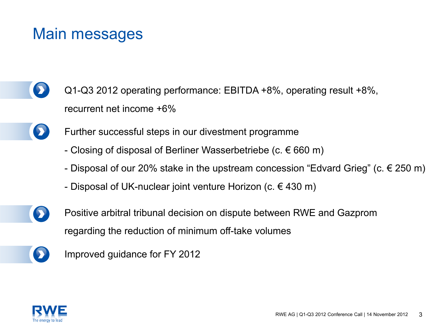### Main messages

- Q1-Q3 2012 operating performance: EBITDA +8%, operating result +8%, recurrent net income +6%
	- Further successful steps in our divestment programme
		- Closing of disposal of Berliner Wasserbetriebe (c.  $\in$  660 m)
		- Disposal of our 20% stake in the upstream concession "Edvard Grieg" (c. € 250 m)
		- Disposal of UK-nuclear joint venture Horizon (c.  $\in$  430 m)
- 

D

Positive arbitral tribunal decision on dispute between RWE and Gazprom regarding the reduction of minimum off-take volumes

Improved guidance for FY 2012

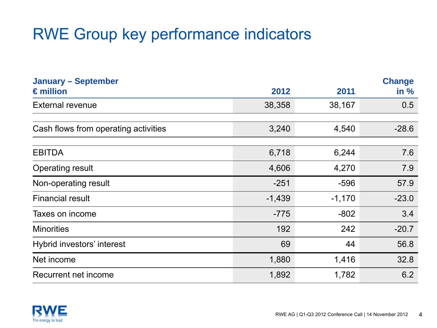### RWE Group key performance indicators

| <b>January - September</b>           |          |          | <b>Change</b> |
|--------------------------------------|----------|----------|---------------|
| $\epsilon$ million                   | 2012     | 2011     | in $%$        |
| <b>External revenue</b>              | 38,358   | 38,167   | 0.5           |
|                                      |          |          |               |
| Cash flows from operating activities | 3,240    | 4,540    | $-28.6$       |
|                                      |          |          |               |
| <b>EBITDA</b>                        | 6,718    | 6,244    | 7.6           |
| <b>Operating result</b>              | 4,606    | 4,270    | 7.9           |
| Non-operating result                 | $-251$   | $-596$   | 57.9          |
| <b>Financial result</b>              | $-1,439$ | $-1,170$ | $-23.0$       |
| Taxes on income                      | $-775$   | $-802$   | 3.4           |
| <b>Minorities</b>                    | 192      | 242      | $-20.7$       |
| Hybrid investors' interest           | 69       | 44       | 56.8          |
| Net income                           | 1,880    | 1,416    | 32.8          |
| Recurrent net income                 | 1,892    | 1,782    | 6.2           |

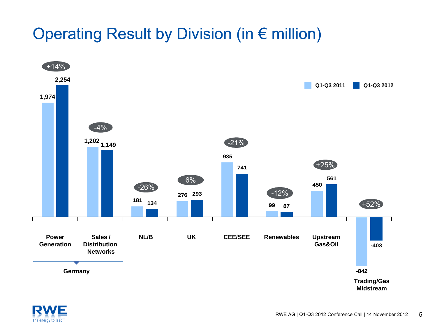### Operating Result by Division (in € million)



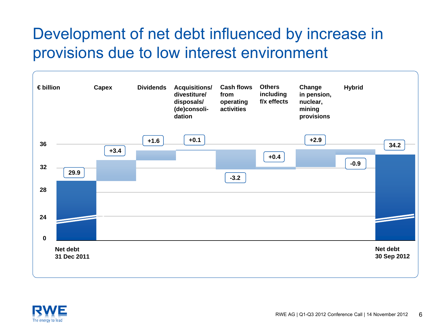### Development of net debt influenced by increase in provisions due to low interest environment



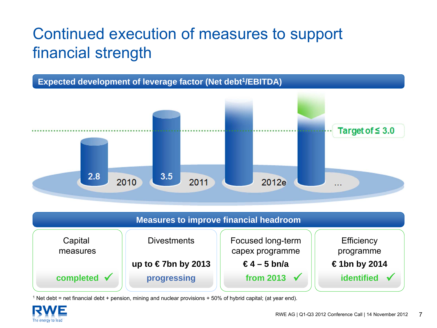# Continued execution of measures to support financial strength



| Measures to improve financial headroom |                    |                                      |                                |  |  |  |  |  |  |
|----------------------------------------|--------------------|--------------------------------------|--------------------------------|--|--|--|--|--|--|
| Capital<br>measures                    | <b>Divestments</b> | Focused long-term<br>capex programme | <b>Efficiency</b><br>programme |  |  |  |  |  |  |
|                                        | up to €7bn by 2013 | €4 – 5 bn/a                          | €1bn by 2014                   |  |  |  |  |  |  |
| completed $\checkmark$                 | progressing        | from 2013 $\sqrt{}$                  | identified                     |  |  |  |  |  |  |

1 Net debt = net financial debt + pension, mining and nuclear provisions + 50% of hybrid capital; (at year end).

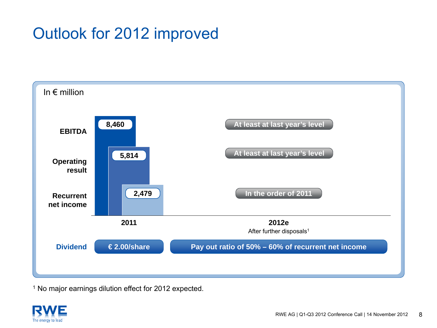### Outlook for 2012 improved



<sup>1</sup> No major earnings dilution effect for 2012 expected.

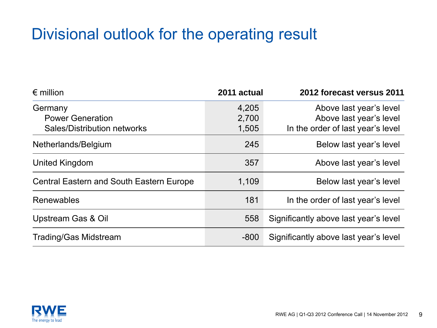### Divisional outlook for the operating result

| $\epsilon$ million                              | 2011 actual | 2012 forecast versus 2011             |
|-------------------------------------------------|-------------|---------------------------------------|
| Germany                                         | 4,205       | Above last year's level               |
| <b>Power Generation</b>                         | 2,700       | Above last year's level               |
| <b>Sales/Distribution networks</b>              | 1,505       | In the order of last year's level     |
| Netherlands/Belgium                             | 245         | Below last year's level               |
| United Kingdom                                  | 357         | Above last year's level               |
| <b>Central Eastern and South Eastern Europe</b> | 1,109       | Below last year's level               |
| Renewables                                      | 181         | In the order of last year's level     |
| Upstream Gas & Oil                              | 558         | Significantly above last year's level |
| <b>Trading/Gas Midstream</b>                    | $-800$      | Significantly above last year's level |

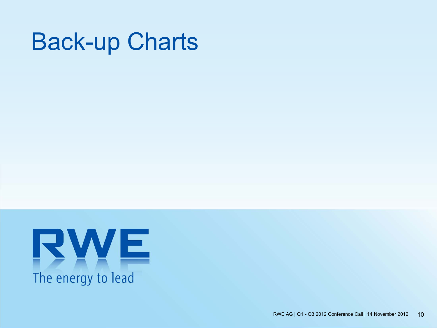# Back-up Charts

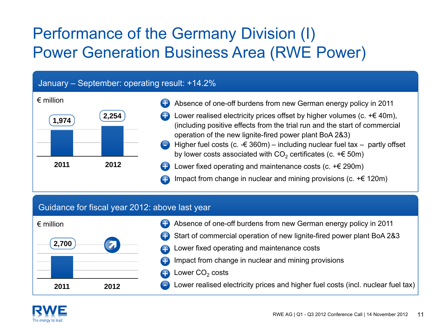## Performance of the Germany Division (I) Power Generation Business Area (RWE Power)

#### January – September: operating result: +14.2%



- Absence of one-off burdens from new German energy policy in 2011
- Lower realised electricity prices offset by higher volumes (c.  $+\epsilon$  40m), (including positive effects from the trial run and the start of commercial operation of the new lignite-fired power plant BoA 2&3) +
- Higher fuel costs (c.  $-6.360m$ ) including nuclear fuel tax partly offset by lower costs associated with CO $_2$  certificates (c. +€ 50m) -
- Lower fixed operating and maintenance costs (c.  $+ \epsilon$  290m) +
- Impact from change in nuclear and mining provisions (c.  $+ \epsilon$  120m) +

#### Guidance for fiscal year 2012: above last year



- Absence of one-off burdens from new German energy policy in 2011 +
- Start of commercial operation of new lignite-fired power plant BoA 2&3 +
- Lower fixed operating and maintenance costs
- Impact from change in nuclear and mining provisions +
- Lower CO $_{\rm 2}$  costs +

-

Lower realised electricity prices and higher fuel costs (incl. nuclear fuel tax)

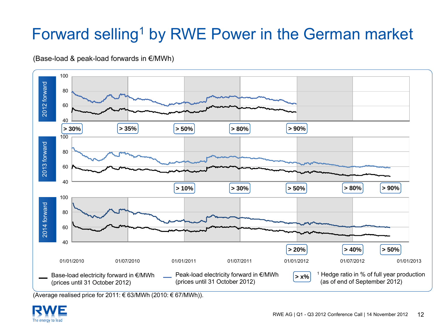# Forward selling<sup>1</sup> by RWE Power in the German market

#### (Base-load & peak-load forwards in €/MWh)



(Average realised price for 2011: € 63/MWh (2010: € 67/MWh)).

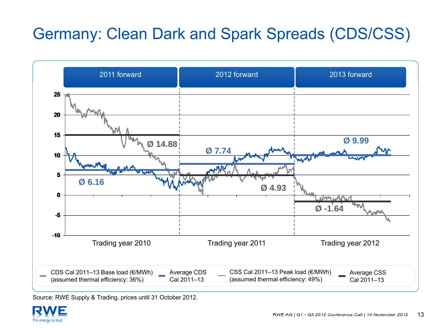# Germany: Clean Dark and Spark Spreads (CDS/CSS)



Source: RWE Supply & Trading, prices until 31 October 2012.

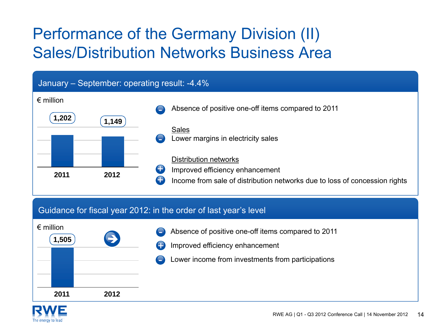## Performance of the Germany Division (II) Sales/Distribution Networks Business Area



#### Guidance for fiscal year 2012: in the order of last year's level



- Absence of positive one-off items compared to 2011 -
- Improved efficiency enhancement +
	- Lower income from investments from participations

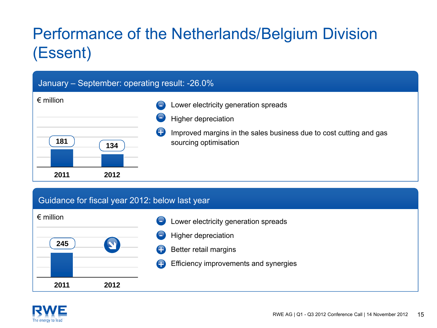# Performance of the Netherlands/Belgium Division (Essent)

#### January – September: operating result: -26.0%



#### Guidance for fiscal year 2012: below last year



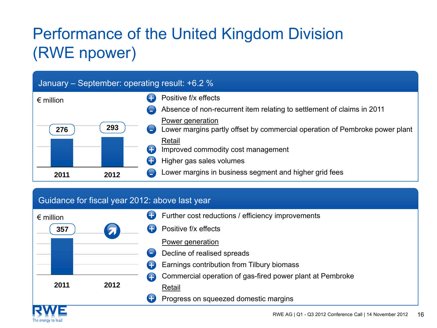# Performance of the United Kingdom Division (RWE npower)

#### January – September: operating result: +6.2 %



#### Guidance for fiscal year 2012: above last year

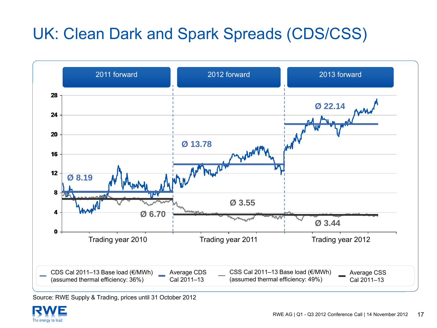# UK: Clean Dark and Spark Spreads (CDS/CSS)



Source: RWE Supply & Trading, prices until 31 October 2012

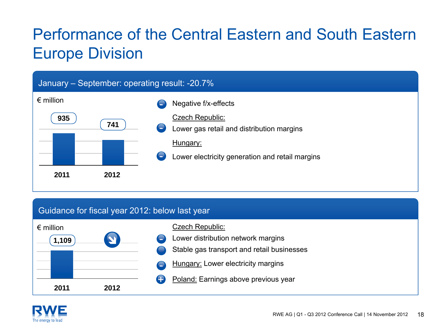# Performance of the Central Eastern and South Eastern Europe Division

#### January – September: operating result: -20.7%



#### Guidance for fiscal year 2012: below last year



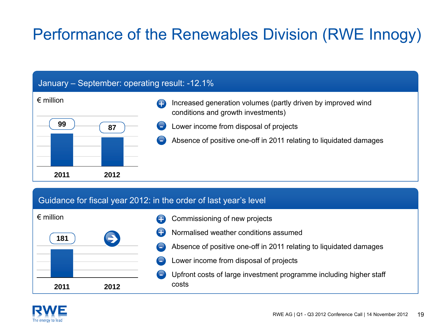# Performance of the Renewables Division (RWE Innogy)

#### January – September: operating result: -12.1%



#### Guidance for fiscal year 2012: in the order of last year's level



- Commissioning of new projects +
- Normalised weather conditions assumed+
	- Absence of positive one-off in 2011 relating to liquidated damages
- Lower income from disposal of projects
- Upfront costs of large investment programme including higher staff costs

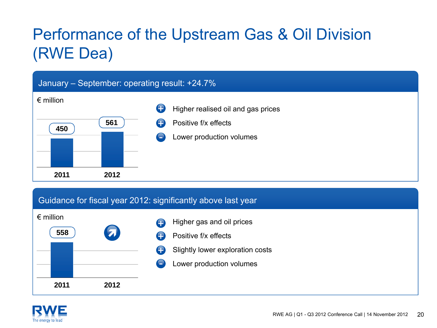# Performance of the Upstream Gas & Oil Division (RWE Dea)

#### January – September: operating result: +24.7%



#### Guidance for fiscal year 2012: significantly above last year





- Positive f/x effects $\bullet$
- Slightly lower exploration costs +
	- Lower production volumes

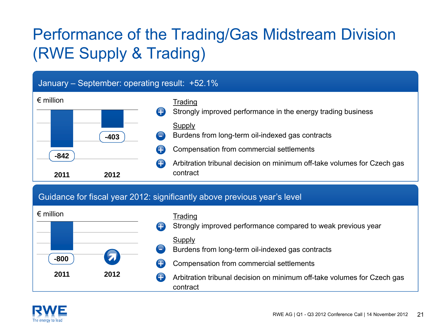# Performance of the Trading/Gas Midstream Division (RWE Supply & Trading)

#### January – September: operating result: +52.1%



#### Guidance for fiscal year 2012: significantly above previous year's level



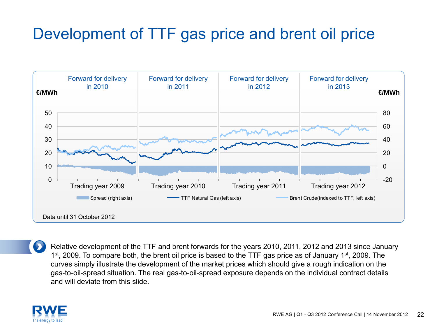### Development of TTF gas price and brent oil price



Relative development of the TTF and brent forwards for the years 2010, 2011, 2012 and 2013 since January 1<sup>st</sup>, 2009. To compare both, the brent oil price is based to the TTF gas price as of January 1<sup>st</sup>, 2009. The curves simply illustrate the development of the market prices which should give a rough indication on the gas-to-oil-spread situation. The real gas-to-oil-spread exposure depends on the individual contract details and will deviate from this slide.

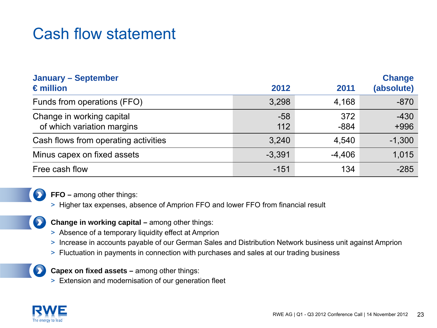### Cash flow statement

| <b>January - September</b><br>$\epsilon$ million        | 2012         | 2011          | <b>Change</b><br>(absolute) |
|---------------------------------------------------------|--------------|---------------|-----------------------------|
| Funds from operations (FFO)                             | 3,298        | 4,168         | $-870$                      |
| Change in working capital<br>of which variation margins | $-58$<br>112 | 372<br>$-884$ | $-430$<br>$+996$            |
| Cash flows from operating activities                    | 3,240        | 4,540         | $-1,300$                    |
| Minus capex on fixed assets                             | $-3,391$     | $-4,406$      | 1,015                       |
| Free cash flow                                          | $-151$       | 134           | $-285$                      |



 $\bullet$ 

**FFO –** among other things:

- > Higher tax expenses, absence of Amprion FFO and lower FFO from financial result
- **Change in working capital –** among other things:
- > Absence of a temporary liquidity effect at Amprion
- > Increase in accounts payable of our German Sales and Distribution Network business unit against Amprion
- > Fluctuation in payments in connection with purchases and sales at our trading business



**Capex on fixed assets –** among other things:

> Extension and modernisation of our generation fleet

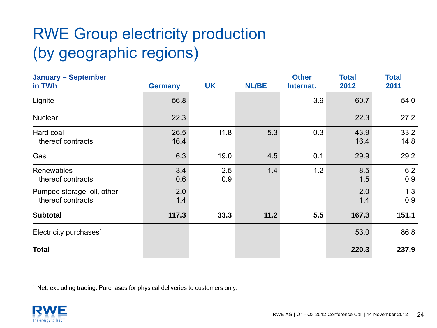# RWE Group electricity production (by geographic regions)

| <b>January - September</b><br>in TWh            | <b>Germany</b> | <b>UK</b>  | <b>NL/BE</b> | <b>Other</b><br>Internat. | <b>Total</b><br>2012 | <b>Total</b><br>2011 |
|-------------------------------------------------|----------------|------------|--------------|---------------------------|----------------------|----------------------|
| Lignite                                         | 56.8           |            |              | 3.9                       | 60.7                 | 54.0                 |
| <b>Nuclear</b>                                  | 22.3           |            |              |                           | 22.3                 | 27.2                 |
| Hard coal<br>thereof contracts                  | 26.5<br>16.4   | 11.8       | 5.3          | 0.3                       | 43.9<br>16.4         | 33.2<br>14.8         |
| Gas                                             | 6.3            | 19.0       | 4.5          | 0.1                       | 29.9                 | 29.2                 |
| Renewables<br>thereof contracts                 | 3.4<br>0.6     | 2.5<br>0.9 | 1.4          | 1.2                       | 8.5<br>1.5           | 6.2<br>0.9           |
| Pumped storage, oil, other<br>thereof contracts | 2.0<br>1.4     |            |              |                           | 2.0<br>1.4           | 1.3<br>0.9           |
| <b>Subtotal</b>                                 | 117.3          | 33.3       | 11.2         | 5.5                       | 167.3                | 151.1                |
| Electricity purchases <sup>1</sup>              |                |            |              |                           | 53.0                 | 86.8                 |
| <b>Total</b>                                    |                |            |              |                           | 220.3                | 237.9                |

<sup>1</sup> Net, excluding trading. Purchases for physical deliveries to customers only.

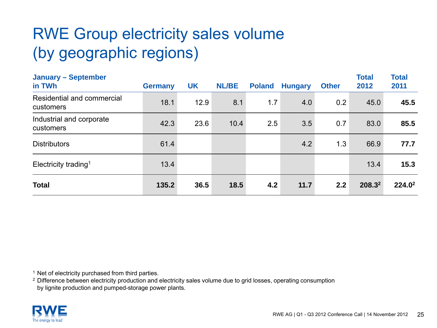# RWE Group electricity sales volume (by geographic regions)

| <b>January - September</b><br>in TWh    | <b>Germany</b> | <b>UK</b> | <b>NL/BE</b> | <b>Poland</b> | <b>Hungary</b> | <b>Other</b> | <b>Total</b><br>2012 | <b>Total</b><br>2011 |
|-----------------------------------------|----------------|-----------|--------------|---------------|----------------|--------------|----------------------|----------------------|
| Residential and commercial<br>customers | 18.1           | 12.9      | 8.1          | 1.7           | 4.0            | 0.2          | 45.0                 | 45.5                 |
| Industrial and corporate<br>customers   | 42.3           | 23.6      | 10.4         | 2.5           | 3.5            | 0.7          | 83.0                 | 85.5                 |
| <b>Distributors</b>                     | 61.4           |           |              |               | 4.2            | 1.3          | 66.9                 | 77.7                 |
| Electricity trading <sup>1</sup>        | 13.4           |           |              |               |                |              | 13.4                 | 15.3                 |
| <b>Total</b>                            | 135.2          | 36.5      | 18.5         | 4.2           | 11.7           | 2.2          | 208.32               | 224.0 <sup>2</sup>   |

<sup>1</sup> Net of electricity purchased from third parties.

 $^2$  Difference between electricity production and electricity sales volume due to grid losses, operating consumption by lignite production and pumped-storage power plants.

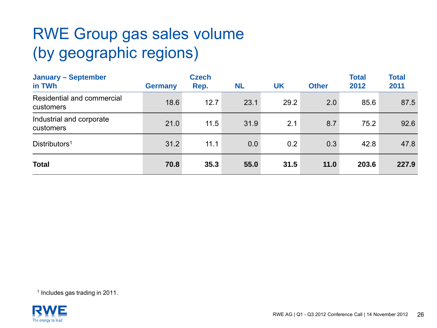# RWE Group gas sales volume (by geographic regions)

| <b>January - September</b><br>in TWh    | <b>Germany</b> | <b>Czech</b><br>Rep. | <b>NL</b> | UK   | <b>Other</b> | <b>Total</b><br>2012 | <b>Total</b><br>2011 |
|-----------------------------------------|----------------|----------------------|-----------|------|--------------|----------------------|----------------------|
| Residential and commercial<br>customers | 18.6           | 12.7                 | 23.1      | 29.2 | 2.0          | 85.6                 | 87.5                 |
| Industrial and corporate<br>customers   | 21.0           | 11.5                 | 31.9      | 2.1  | 8.7          | 75.2                 | 92.6                 |
| Distributors <sup>1</sup>               | 31.2           | 11.1                 | 0.0       | 0.2  | 0.3          | 42.8                 | 47.8                 |
| <b>Total</b>                            | 70.8           | 35.3                 | 55.0      | 31.5 | 11.0         | 203.6                | 227.9                |

1 Includes gas trading in 2011.

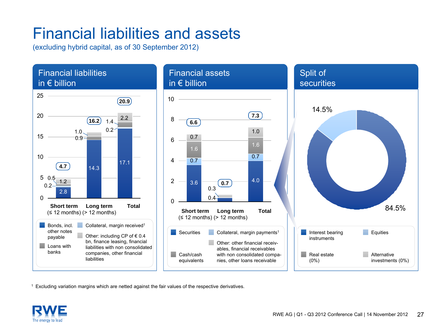### Financial liabilities and assets

(excluding hybrid capital, as of 30 September 2012)



1 Excluding variation margins which are netted against the fair values of the respective derivatives.

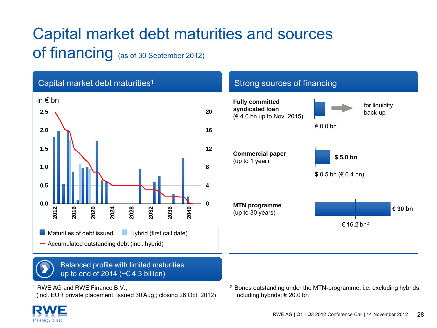# Capital market debt maturities and sources of financing (as of 30 September 2012)



1 RWE AG and RWE Finance B.V.,

(incl. EUR private placement, issued 30 Aug.; closing 26 Oct. 2012) Including hybrids: € 20.0 bn

 $2$  Bonds outstanding under the MTN-programme, i.e. excluding hybrids.

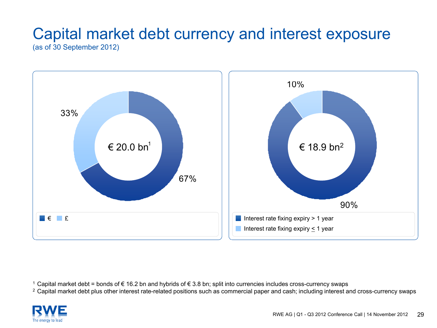# Capital market debt currency and interest exposure

(as of 30 September 2012)



1 Capital market debt = bonds of € 16.2 bn and hybrids of € 3.8 bn; split into currencies includes cross-currency swaps

<sup>2</sup> Capital market debt plus other interest rate-related positions such as commercial paper and cash; including interest and cross-currency swaps

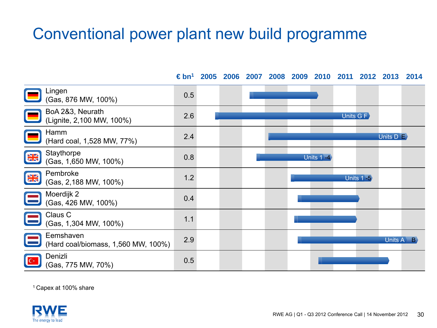### Conventional power plant new build programme

**€ bn1 2005 2006 2007 2008 2009 2010 2011 2012 2013 2014**Lingen (Gas, 876 MW, 100%) 0.5 BoA 2&3, Neurath (Lignite, 2,100 MW, 100%) 2.6 Units G FHamm (Hard coal, 1,528 MW, 77%) 2.4 Units D E **Staythorpe NK** Glaymorpe 0.8<br>(Gas, 1,650 MW, 100%) 0.8 Units 1 -4 Pembroke **NK** rembroke 1.2<br>(Gas, 2,188 MW, 100%) 1.2 Units 1 -5 Moerdijk 2  $(Cas, 426$  MW, 100%) 0.4 Claus C  $\frac{1}{1}$  (Gas, 1,304 MW, 100%) 1.1 Eemshaven(Hard coal/biomass, 1,560 MW, 100%) 2.9 Units A B Denizli(Gas, 775 MW, 70%) 0.5

1 Capex at 100% share

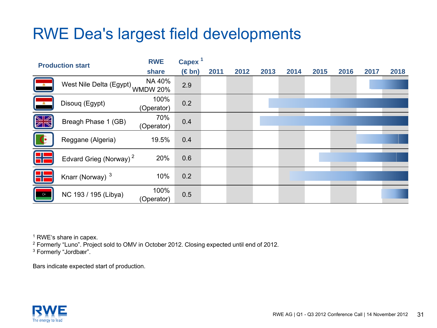### RWE Dea's largest field developments

|              | <b>Production start</b>             | <b>RWE</b>         | Capex <sup>1</sup> |      |      |      |      |      |      |      |      |
|--------------|-------------------------------------|--------------------|--------------------|------|------|------|------|------|------|------|------|
|              |                                     | share              | $(\in$ bn)         | 2011 | 2012 | 2013 | 2014 | 2015 | 2016 | 2017 | 2018 |
| 一点。          | West Nile Delta (Egypt)<br>WMDW 20% |                    | 2.9                |      |      |      |      |      |      |      |      |
|              | Disouq (Egypt)                      | 100%<br>(Operator) | 0.2                |      |      |      |      |      |      |      |      |
| <b>NK</b>    | Breagh Phase 1 (GB)                 | 70%<br>(Operator)  | 0.4                |      |      |      |      |      |      |      |      |
| $\mathbb{G}$ | Reggane (Algeria)                   | 19.5%              | 0.4                |      |      |      |      |      |      |      |      |
|              | Edvard Grieg (Norway) <sup>2</sup>  | 20%                | 0.6                |      |      |      |      |      |      |      |      |
|              | Knarr (Norway) <sup>3</sup>         | 10%                | 0.2                |      |      |      |      |      |      |      |      |
| $C^*$        | NC 193 / 195 (Libya)                | 100%<br>(Operator) | 0.5                |      |      |      |      |      |      |      |      |

1 RWE's share in capex.

2 Formerly "Luno". Project sold to OMV in October 2012. Closing expected until end of 2012. 3 Formerly "Jordbær".

Bars indicate expected start of production.

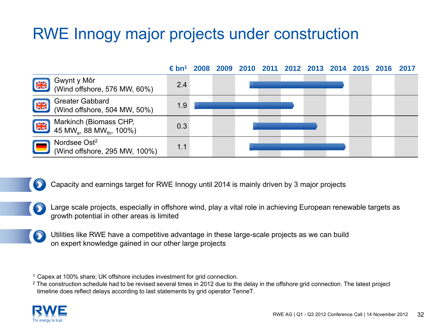### RWE Innogy major projects under construction



Capacity and earnings target for RWE Innogy until 2014 is mainly driven by 3 major projects

Large scale projects, especially in offshore wind, play a vital role in achieving European renewable targets as growth potential in other areas is limited

Utilities like RWE have a competitive advantage in these large-scale projects as we can build on expert knowledge gained in our other large projects

1Capex at 100% share; UK offshore includes investment for grid connection.

 $^2$  The construction schedule had to be revised several times in 2012 due to the delay in the offshore grid connection. The latest project timeline does reflect delays according to last statements by grid operator TenneT.